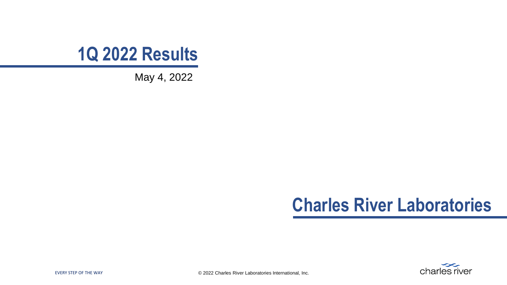

May 4, 2022

#### **Charles River Laboratories**

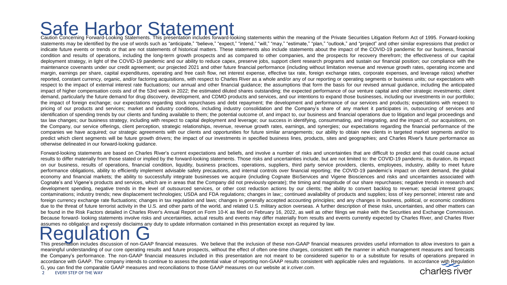#### Safe Harbor Statement

Caution Concerning Forward-Looking Statements. This presentation includes forward-looking statements within the meaning of the Private Securities Litigation Reform Act of 1995. Forward-looking statements may be identified by the use of words such as "anticipate," "believe," "expect," "intend," "will," "may," "estimate," "plan," "outlook," and "project" and other similar expressions that predict or indicate future events or trends or that are not statements of historical matters. These statements also include statements about the impact of the COVID-19 pandemic for our business, financial condition and results of operations, including the long-term growth prospects and as compared to other companies, and the prospects for recovery therefrom; the effectiveness of our capital deployment strategy, in light of the COVID-19 pandemic and our ability to reduce capex, preserve jobs, support client research programs and sustain our financial position; our compliance with the maintenance covenants under our credit agreement; our projected 2021 and other future financial performance (including without limitation revenue and revenue growth rates, operating income and margin, earnings per share, capital expenditures, operating and free cash flow, net interest expense, effective tax rate, foreign exchange rates, corporate expenses, and leverage ratios) whether reported, constant currency, organic, and/or factoring acquisitions, with respect to Charles River as a whole and/or any of our reporting or operating segments or business units; our expectations with respect to the impact of external interest rate fluctuations; our annual and other financial quidance; the assumptions that form the basis for our revised annual quidance, including the anticipated impact of higher compensation costs and of the 53rd week in 2022; the estimated diluted shares outstanding; the expected performance of our venture capital and other strategic investments; client demand, particularly the future demand for drug discovery, development, and CDMO products and services, and our intentions to expand those businesses, including our investments in our portfolio; the impact of foreign exchange; our expectations regarding stock repurchases and debt repayment; the development and performance of our services and products; expectations with respect to pricing of our products and services; market and industry conditions, including industry consolidation and the Company's share of any market it participates in, outsourcing of services and identification of spending trends by our clients and funding available to them; the potential outcome of, and impact to, our business and financial operations due to litigation and legal proceedings and tax law changes; our business strategy, including with respect to capital deployment and leverage; our success in identifying, consummating, and integrating, and the impact of, our acquisitions, on the Company, our service offerings, client perception, strategic relationships, revenue, revenue growth rates, earnings, and synergies; our expectations regarding the financial performance of the companies we have acquired; our strategic agreements with our clients and opportunities for future similar arrangements; our ability to obtain new clients in targeted market segments and/or to predict which client segments will be future growth drivers; the impact of our investments in specified business lines, products, sites and geographies; and Charles River's future performance as otherwise delineated in our forward-looking guidance.

Forward-looking statements are based on Charles River's current expectations and beliefs, and involve a number of risks and uncertainties that are difficult to predict and that could cause actual results to differ materially from those stated or implied by the forward-looking statements. Those risks and uncertainties include, but are not limited to: the COVID-19 pandemic, its duration, its impact on our business, results of operations, financial condition, liquidity, business practices, operations, suppliers, third party service providers, clients, employees, industry, ability to meet future performance obligations, ability to efficiently implement advisable safety precautions, and internal controls over financial reporting; the COVID-19 pandemic's impact on client demand, the global economy and financial markets; the ability to successfully integrate businesses we acquire (including Cognate BioServices and Vigene Biosciences and risks and uncertainties associated with Cognate's and Vigene's products and services, which are in areas that the Company did not previously operate); the timing and magnitude of our share repurchases; negative trends in research and development spending, negative trends in the level of outsourced services, or other cost reduction actions by our clients; the ability to convert backlog to revenue; special interest groups; contaminations; industry trends; new displacement technologies; USDA and FDA regulations; changes in law;; continued availability of products and supplies; loss of key personnel; interest rate and foreign currency exchange rate fluctuations; changes in tax regulation and laws; changes in generally accepted accounting principles; and any changes in business, political, or economic conditions due to the threat of future terrorist activity in the U.S. and other parts of the world, and related U.S. military action overseas. A further description of these risks, uncertainties, and other matters can be found in the Risk Factors detailed in Charles River's Annual Report on Form 10-K as filed on February 16, 2022, as well as other filings we make with the Securities and Exchange Commission. Because forward- looking statements involve risks and uncertainties, actual results and events may differ materially from results and events currently expected by Charles River, and Charles River assumes no obligation and expressly disclaims any duty to update information contained in this presentation except as required by law.

This presentation includes discussion of non-GAAP financial measures. We believe that the inclusion of these non-GAAP financial measures provides useful information to allow investors to gain a<br>This presentation includes d meaningful understanding of our core operating results and future prospects, without the effect of often one-time charges, consistent with the manner in which management measures and forecasts the Company's performance. The non-GAAP financial measures included in this presentation are not meant to be considered superior to or a substitute for results of operations prepared in accordance with GAAP. The company intends to continue to assess the potential value of reporting non-GAAP results consistent with applicable rules and regulations. In accordance with Regulation G, you can find the comparable GAAP measures and reconciliations to those GAAP measures on our website at ir.criver.com. charles river

EVERY STEP OF THE WAY  $2^{\circ}$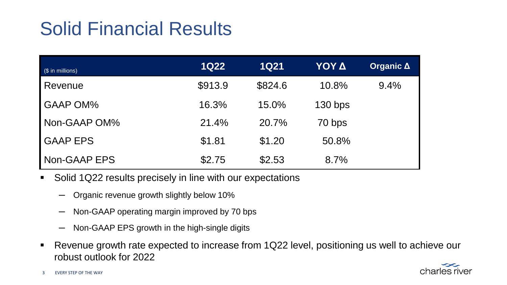### Solid Financial Results

| (\$ in millions) | <b>1Q22</b> | <b>1Q21</b> | ΥΟΥ Δ     | Organic $\Delta$ |
|------------------|-------------|-------------|-----------|------------------|
| Revenue          | \$913.9     | \$824.6     | 10.8%     | 9.4%             |
| <b>GAAP OM%</b>  | 16.3%       | 15.0%       | $130$ bps |                  |
| Non-GAAP OM%     | 21.4%       | 20.7%       | 70 bps    |                  |
| <b>GAAP EPS</b>  | \$1.81      | \$1.20      | 50.8%     |                  |
| Non-GAAP EPS     | \$2.75      | \$2.53      | 8.7%      |                  |

- Solid 1Q22 results precisely in line with our expectations
	- Organic revenue growth slightly below 10%
	- Non-GAAP operating margin improved by 70 bps
	- Non-GAAP EPS growth in the high-single digits
- Revenue growth rate expected to increase from 1Q22 level, positioning us well to achieve our robust outlook for 2022

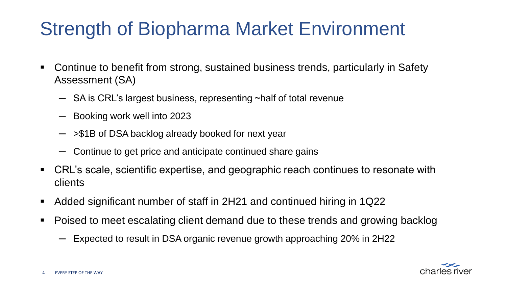## Strength of Biopharma Market Environment

- Continue to benefit from strong, sustained business trends, particularly in Safety Assessment (SA)
	- $-$  SA is CRL's largest business, representing ~half of total revenue
	- ─ Booking work well into 2023
	- $-$  >\$1B of DSA backlog already booked for next year
	- Continue to get price and anticipate continued share gains
- CRL's scale, scientific expertise, and geographic reach continues to resonate with clients
- Added significant number of staff in 2H21 and continued hiring in 1Q22
- Poised to meet escalating client demand due to these trends and growing backlog
	- Expected to result in DSA organic revenue growth approaching 20% in 2H22

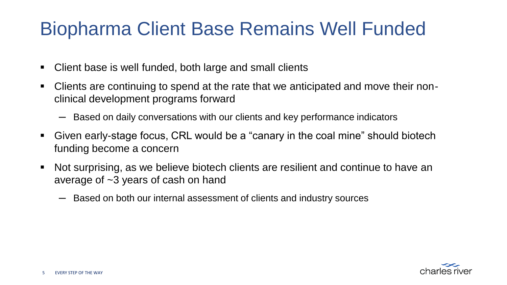### Biopharma Client Base Remains Well Funded

- Client base is well funded, both large and small clients
- Clients are continuing to spend at the rate that we anticipated and move their nonclinical development programs forward
	- $-$  Based on daily conversations with our clients and key performance indicators
- Given early-stage focus, CRL would be a "canary in the coal mine" should biotech funding become a concern
- Not surprising, as we believe biotech clients are resilient and continue to have an average of ~3 years of cash on hand
	- $-$  Based on both our internal assessment of clients and industry sources

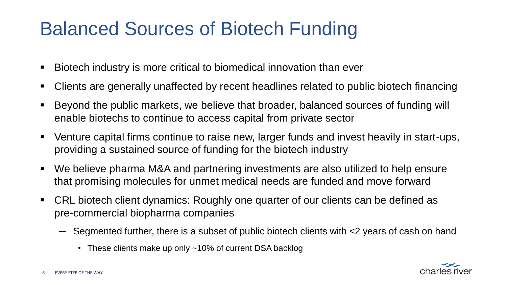### Balanced Sources of Biotech Funding

- Biotech industry is more critical to biomedical innovation than ever
- Clients are generally unaffected by recent headlines related to public biotech financing
- Beyond the public markets, we believe that broader, balanced sources of funding will enable biotechs to continue to access capital from private sector
- Venture capital firms continue to raise new, larger funds and invest heavily in start-ups, providing a sustained source of funding for the biotech industry
- We believe pharma M&A and partnering investments are also utilized to help ensure that promising molecules for unmet medical needs are funded and move forward
- CRL biotech client dynamics: Roughly one quarter of our clients can be defined as pre-commercial biopharma companies
	- $-$  Segmented further, there is a subset of public biotech clients with <2 years of cash on hand
		- These clients make up only ~10% of current DSA backlog

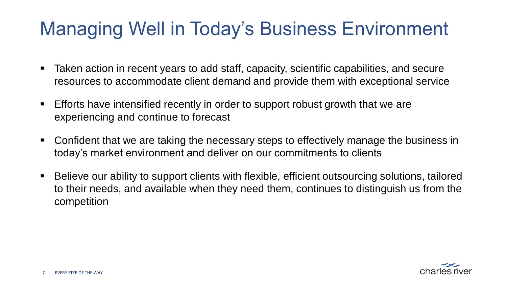### Managing Well in Today's Business Environment

- Taken action in recent years to add staff, capacity, scientific capabilities, and secure resources to accommodate client demand and provide them with exceptional service
- Efforts have intensified recently in order to support robust growth that we are experiencing and continue to forecast
- Confident that we are taking the necessary steps to effectively manage the business in today's market environment and deliver on our commitments to clients
- Believe our ability to support clients with flexible, efficient outsourcing solutions, tailored to their needs, and available when they need them, continues to distinguish us from the competition

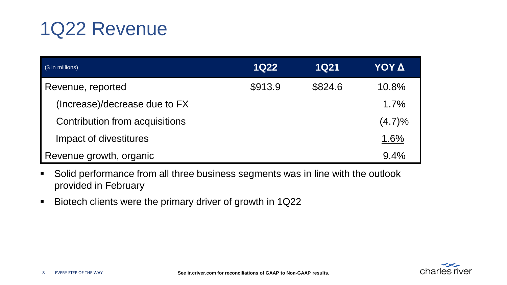### 1Q22 Revenue

| $$\left($ $\$\right)$ in millions) | <b>1Q22</b> | <b>1Q21</b> | ΥΟΥ Δ  |
|------------------------------------|-------------|-------------|--------|
| Revenue, reported                  | \$913.9     | \$824.6     | 10.8%  |
| (Increase)/decrease due to FX      |             |             | 1.7%   |
| Contribution from acquisitions     |             |             | (4.7)% |
| Impact of divestitures             |             |             | 1.6%   |
| Revenue growth, organic            |             |             | 9.4%   |

- **•** Solid performance from all three business segments was in line with the outlook provided in February
- Biotech clients were the primary driver of growth in 1Q22

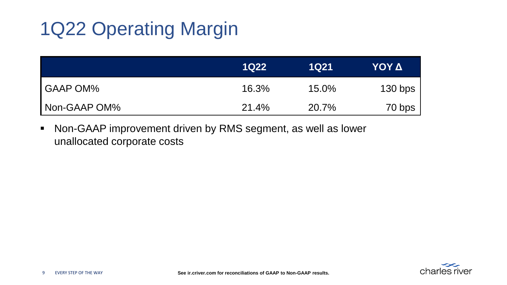## 1Q22 Operating Margin

|                 | 1022  | 1021  | ΥΟΥ Δ     |
|-----------------|-------|-------|-----------|
| <b>GAAP OM%</b> | 16.3% | 15.0% | $130$ bps |
| Non-GAAP OM%    | 21.4% | 20.7% | 70 bps    |

■ Non-GAAP improvement driven by RMS segment, as well as lower unallocated corporate costs

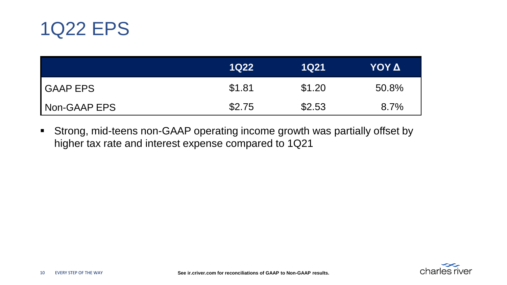

|                 | <b>1Q22</b> | <b>1Q21</b> | ΥΟΥ Δ |
|-----------------|-------------|-------------|-------|
| <b>GAAP EPS</b> | \$1.81      | \$1.20      | 50.8% |
| Non-GAAP EPS    | \$2.75      | \$2.53      | 8.7%  |

■ Strong, mid-teens non-GAAP operating income growth was partially offset by higher tax rate and interest expense compared to 1Q21

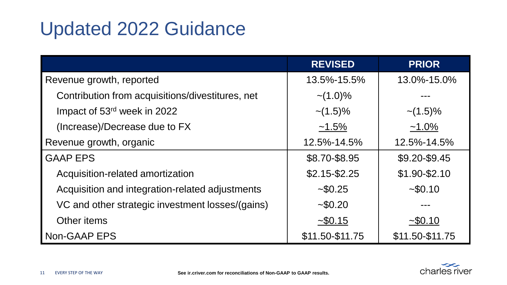### Updated 2022 Guidance

|                                                  | <b>REVISED</b>  | <b>PRIOR</b>    |
|--------------------------------------------------|-----------------|-----------------|
| Revenue growth, reported                         | 13.5%-15.5%     | 13.0%-15.0%     |
| Contribution from acquisitions/divestitures, net | $\sim$ (1.0)%   |                 |
| Impact of 53rd week in 2022                      | $\sim$ (1.5)%   | $\sim$ (1.5)%   |
| (Increase)/Decrease due to FX                    | $~1.5\%$        | $~1.0\%$        |
| Revenue growth, organic                          | 12.5%-14.5%     | 12.5%-14.5%     |
| <b>GAAP EPS</b>                                  | \$8.70-\$8.95   | \$9.20-\$9.45   |
| Acquisition-related amortization                 | $$2.15 - $2.25$ | $$1.90-S2.10$   |
| Acquisition and integration-related adjustments  | ~50.25          | ~50.10          |
| VC and other strategic investment losses/(gains) | ~50.20          |                 |
| Other items                                      | $-$ \$0.15      | $-$ \$0.10      |
| Non-GAAP EPS                                     | \$11.50-\$11.75 | \$11.50-\$11.75 |

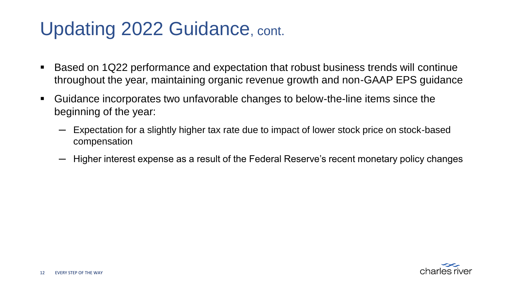### Updating 2022 Guidance, cont.

- Based on 1Q22 performance and expectation that robust business trends will continue throughout the year, maintaining organic revenue growth and non-GAAP EPS guidance
- Guidance incorporates two unfavorable changes to below-the-line items since the beginning of the year:
	- Expectation for a slightly higher tax rate due to impact of lower stock price on stock-based compensation
	- $-$  Higher interest expense as a result of the Federal Reserve's recent monetary policy changes

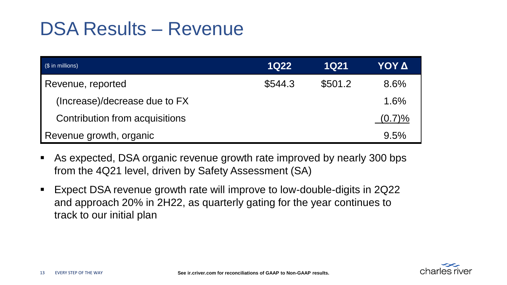#### DSA Results – Revenue

| (\$ in millions)               | <b>1Q22</b> | <b>1Q21</b> | ΥΟΥ Δ  |
|--------------------------------|-------------|-------------|--------|
| Revenue, reported              | \$544.3     | \$501.2     | 8.6%   |
| (Increase)/decrease due to FX  |             |             | 1.6%   |
| Contribution from acquisitions |             |             | (0.7)% |
| Revenue growth, organic        |             |             | 9.5%   |

- As expected, DSA organic revenue growth rate improved by nearly 300 bps from the 4Q21 level, driven by Safety Assessment (SA)
- Expect DSA revenue growth rate will improve to low-double-digits in 2Q22 and approach 20% in 2H22, as quarterly gating for the year continues to track to our initial plan

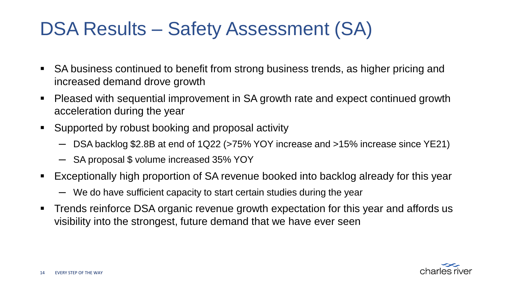### DSA Results – Safety Assessment (SA)

- SA business continued to benefit from strong business trends, as higher pricing and increased demand drove growth
- Pleased with sequential improvement in SA growth rate and expect continued growth acceleration during the year
- Supported by robust booking and proposal activity
	- $-$  DSA backlog \$2.8B at end of 1Q22 (>75% YOY increase and >15% increase since YE21)
	- ─ SA proposal \$ volume increased 35% YOY
- Exceptionally high proportion of SA revenue booked into backlog already for this year
	- We do have sufficient capacity to start certain studies during the year
- **Trends reinforce DSA organic revenue growth expectation for this year and affords us** visibility into the strongest, future demand that we have ever seen

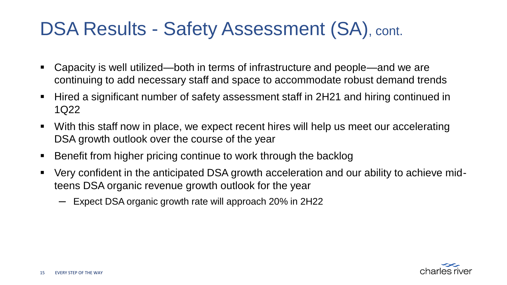### DSA Results - Safety Assessment (SA), cont.

- Capacity is well utilized—both in terms of infrastructure and people—and we are continuing to add necessary staff and space to accommodate robust demand trends
- Hired a significant number of safety assessment staff in 2H21 and hiring continued in 1Q22
- With this staff now in place, we expect recent hires will help us meet our accelerating DSA growth outlook over the course of the year
- Benefit from higher pricing continue to work through the backlog
- Very confident in the anticipated DSA growth acceleration and our ability to achieve midteens DSA organic revenue growth outlook for the year
	- ─ Expect DSA organic growth rate will approach 20% in 2H22

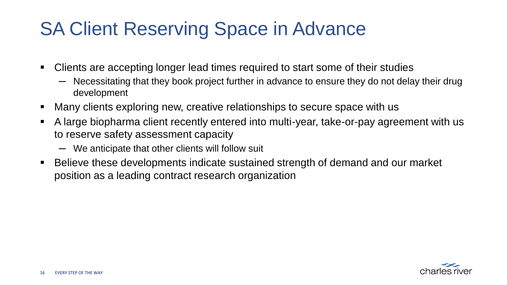### SA Client Reserving Space in Advance

- Clients are accepting longer lead times required to start some of their studies
	- Necessitating that they book project further in advance to ensure they do not delay their drug development
- Many clients exploring new, creative relationships to secure space with us
- A large biopharma client recently entered into multi-year, take-or-pay agreement with us to reserve safety assessment capacity
	- ─ We anticipate that other clients will follow suit
- Believe these developments indicate sustained strength of demand and our market position as a leading contract research organization

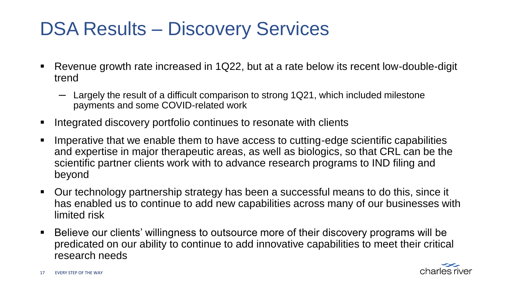### DSA Results – Discovery Services

- Revenue growth rate increased in 1Q22, but at a rate below its recent low-double-digit trend
	- $-$  Largely the result of a difficult comparison to strong 1Q21, which included milestone payments and some COVID-related work
- Integrated discovery portfolio continues to resonate with clients
- Imperative that we enable them to have access to cutting-edge scientific capabilities and expertise in major therapeutic areas, as well as biologics, so that CRL can be the scientific partner clients work with to advance research programs to IND filing and beyond
- Our technology partnership strategy has been a successful means to do this, since it has enabled us to continue to add new capabilities across many of our businesses with limited risk
- Believe our clients' willingness to outsource more of their discovery programs will be predicated on our ability to continue to add innovative capabilities to meet their critical research needs

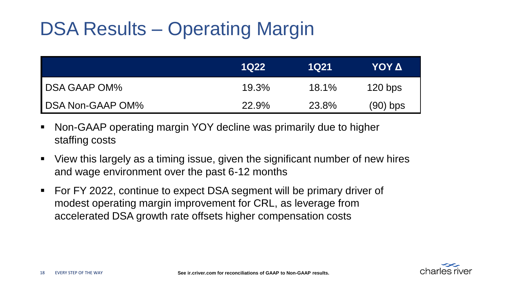## DSA Results – Operating Margin

|                         | <b>1Q22</b> | 1Q21     | ΥΟΥ Δ      |
|-------------------------|-------------|----------|------------|
| <b>DSA GAAP OM%</b>     | 19.3%       | $18.1\%$ | $120$ bps  |
| <b>DSA Non-GAAP OM%</b> | 22.9%       | 23.8%    | $(90)$ bps |

- Non-GAAP operating margin YOY decline was primarily due to higher staffing costs
- View this largely as a timing issue, given the significant number of new hires and wage environment over the past 6-12 months
- For FY 2022, continue to expect DSA segment will be primary driver of modest operating margin improvement for CRL, as leverage from accelerated DSA growth rate offsets higher compensation costs

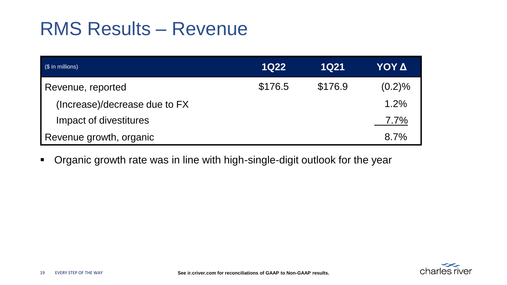#### RMS Results – Revenue

| $$\left($ $\$\right)$ in millions) | <b>1Q22</b> | <b>1Q21</b> | ΥΟΥ Δ  |
|------------------------------------|-------------|-------------|--------|
| Revenue, reported                  | \$176.5     | \$176.9     | (0.2)% |
| (Increase)/decrease due to FX      |             |             | 1.2%   |
| Impact of divestitures             |             |             | 7.7%   |
| Revenue growth, organic            |             |             | 8.7%   |

▪ Organic growth rate was in line with high-single-digit outlook for the year

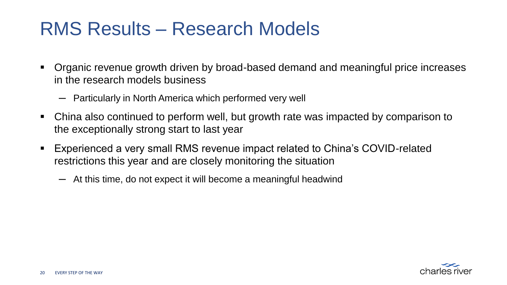#### RMS Results – Research Models

- Organic revenue growth driven by broad-based demand and meaningful price increases in the research models business
	- $-$  Particularly in North America which performed very well
- China also continued to perform well, but growth rate was impacted by comparison to the exceptionally strong start to last year
- Experienced a very small RMS revenue impact related to China's COVID-related restrictions this year and are closely monitoring the situation
	- ─ At this time, do not expect it will become a meaningful headwind

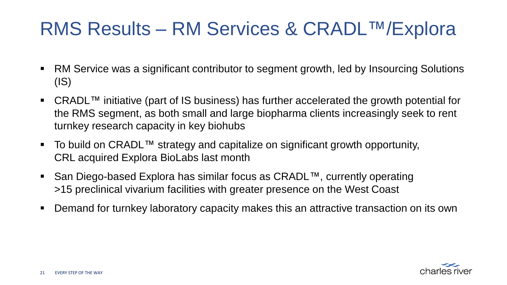#### RMS Results – RM Services & CRADL™/Explora

- RM Service was a significant contributor to segment growth, led by Insourcing Solutions (IS)
- $CRADL^{\text{TM}}$  initiative (part of IS business) has further accelerated the growth potential for the RMS segment, as both small and large biopharma clients increasingly seek to rent turnkey research capacity in key biohubs
- To build on CRADL™ strategy and capitalize on significant growth opportunity, CRL acquired Explora BioLabs last month
- San Diego-based Explora has similar focus as CRADL™, currently operating >15 preclinical vivarium facilities with greater presence on the West Coast
- Demand for turnkey laboratory capacity makes this an attractive transaction on its own

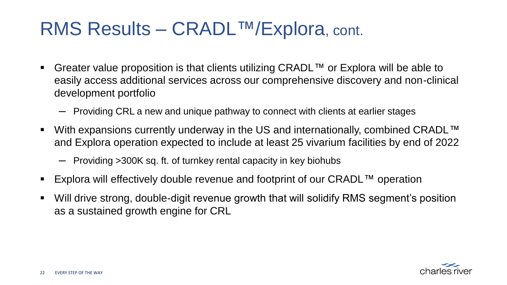#### RMS Results – CRADL™/Explora, cont.

- Greater value proposition is that clients utilizing CRADL™ or Explora will be able to easily access additional services across our comprehensive discovery and non-clinical development portfolio
	- $-$  Providing CRL a new and unique pathway to connect with clients at earlier stages
- With expansions currently underway in the US and internationally, combined CRADL™ and Explora operation expected to include at least 25 vivarium facilities by end of 2022
	- $-$  Providing > 300K sq. ft. of turnkey rental capacity in key biohubs
- Explora will effectively double revenue and footprint of our CRADL™ operation
- Will drive strong, double-digit revenue growth that will solidify RMS segment's position as a sustained growth engine for CRL

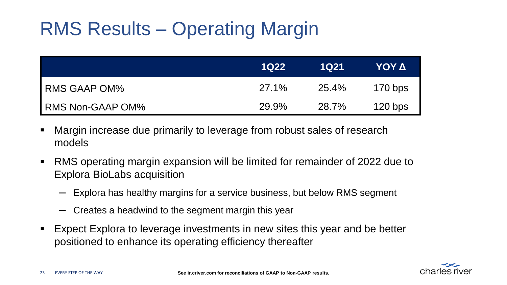### RMS Results – Operating Margin

|                  | 1Q22  | 1Q21  | ΥΟΥ Δ     |
|------------------|-------|-------|-----------|
| I RMS GAAP OM%   | 27.1% | 25.4% | $170$ bps |
| RMS Non-GAAP OM% | 29.9% | 28.7% | $120$ bps |

- Margin increase due primarily to leverage from robust sales of research models
- RMS operating margin expansion will be limited for remainder of 2022 due to Explora BioLabs acquisition
	- Explora has healthy margins for a service business, but below RMS segment
	- Creates a headwind to the segment margin this year
- Expect Explora to leverage investments in new sites this year and be better positioned to enhance its operating efficiency thereafter

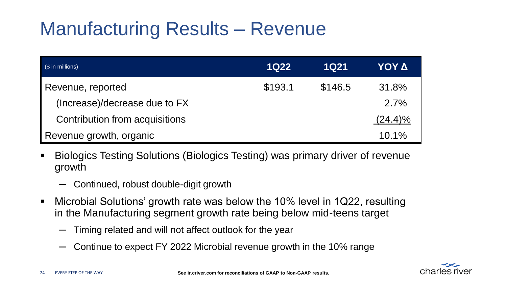### Manufacturing Results – Revenue

| $$\left($ $\$\right)$ in millions) | <b>1Q22</b> | <b>1Q21</b> | ΥΟΥ Δ      |
|------------------------------------|-------------|-------------|------------|
| Revenue, reported                  | \$193.1     | \$146.5     | 31.8%      |
| (Increase)/decrease due to FX      |             |             | 2.7%       |
| Contribution from acquisitions     |             |             | $(24.4)\%$ |
| Revenue growth, organic            |             |             | 10.1%      |

- Biologics Testing Solutions (Biologics Testing) was primary driver of revenue growth
	- ─ Continued, robust double-digit growth
- Microbial Solutions' growth rate was below the 10% level in 1Q22, resulting in the Manufacturing segment growth rate being below mid-teens target
	- Timing related and will not affect outlook for the year
	- ─ Continue to expect FY 2022 Microbial revenue growth in the 10% range

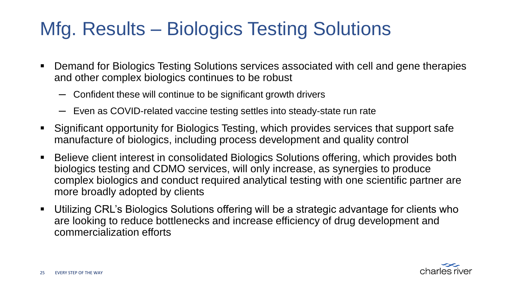### Mfg. Results – Biologics Testing Solutions

- Demand for Biologics Testing Solutions services associated with cell and gene therapies and other complex biologics continues to be robust
	- ─ Confident these will continue to be significant growth drivers
	- ─ Even as COVID-related vaccine testing settles into steady-state run rate
- Significant opportunity for Biologics Testing, which provides services that support safe manufacture of biologics, including process development and quality control
- Believe client interest in consolidated Biologics Solutions offering, which provides both biologics testing and CDMO services, will only increase, as synergies to produce complex biologics and conduct required analytical testing with one scientific partner are more broadly adopted by clients
- Utilizing CRL's Biologics Solutions offering will be a strategic advantage for clients who are looking to reduce bottlenecks and increase efficiency of drug development and commercialization efforts

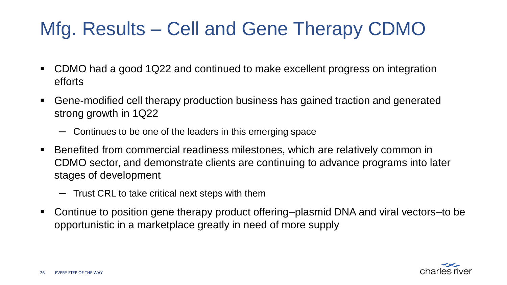## Mfg. Results – Cell and Gene Therapy CDMO

- CDMO had a good 1Q22 and continued to make excellent progress on integration efforts
- Gene-modified cell therapy production business has gained traction and generated strong growth in 1Q22
	- ─ Continues to be one of the leaders in this emerging space
- Benefited from commercial readiness milestones, which are relatively common in CDMO sector, and demonstrate clients are continuing to advance programs into later stages of development
	- ─ Trust CRL to take critical next steps with them
- Continue to position gene therapy product offering–plasmid DNA and viral vectors–to be opportunistic in a marketplace greatly in need of more supply

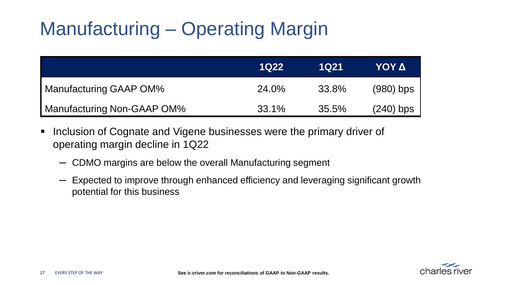# Manufacturing – Operating Margin

|                            | <b>1022</b> | 1Q21  | ΥΟΥ Δ       |
|----------------------------|-------------|-------|-------------|
| Manufacturing GAAP OM%     | 24.0%       | 33.8% | $(980)$ bps |
| Manufacturing Non-GAAP OM% | 33.1%       | 35.5% | $(240)$ bps |

- Inclusion of Cognate and Vigene businesses were the primary driver of operating margin decline in 1Q22
	- ─ CDMO margins are below the overall Manufacturing segment
	- $-$  Expected to improve through enhanced efficiency and leveraging significant growth potential for this business

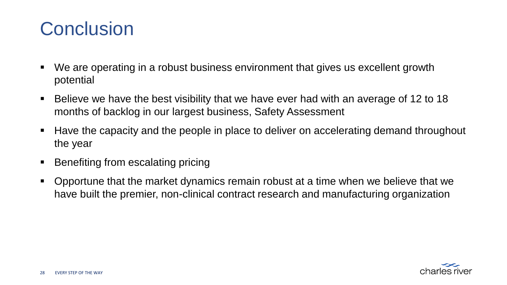#### **Conclusion**

- We are operating in a robust business environment that gives us excellent growth potential
- Believe we have the best visibility that we have ever had with an average of 12 to 18 months of backlog in our largest business, Safety Assessment
- Have the capacity and the people in place to deliver on accelerating demand throughout the year
- Benefiting from escalating pricing
- Opportune that the market dynamics remain robust at a time when we believe that we have built the premier, non-clinical contract research and manufacturing organization

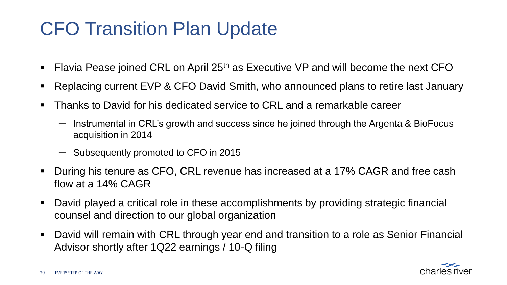### CFO Transition Plan Update

- Flavia Pease joined CRL on April  $25<sup>th</sup>$  as Executive VP and will become the next CFO
- Replacing current EVP & CFO David Smith, who announced plans to retire last January
- Thanks to David for his dedicated service to CRL and a remarkable career
	- Instrumental in CRL's growth and success since he joined through the Argenta & BioFocus acquisition in 2014
	- ─ Subsequently promoted to CFO in 2015
- During his tenure as CFO, CRL revenue has increased at a 17% CAGR and free cash flow at a 14% CAGR
- David played a critical role in these accomplishments by providing strategic financial counsel and direction to our global organization
- David will remain with CRL through year end and transition to a role as Senior Financial Advisor shortly after 1Q22 earnings / 10-Q filing

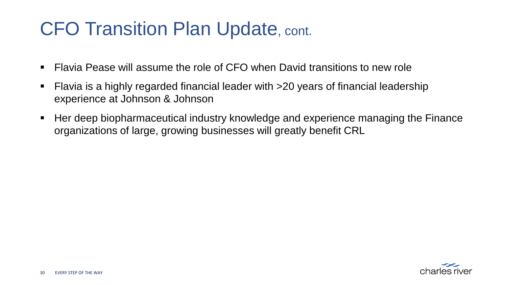#### CFO Transition Plan Update, cont.

- Elavia Pease will assume the role of CFO when David transitions to new role
- Flavia is a highly regarded financial leader with >20 years of financial leadership experience at Johnson & Johnson
- Her deep biopharmaceutical industry knowledge and experience managing the Finance organizations of large, growing businesses will greatly benefit CRL

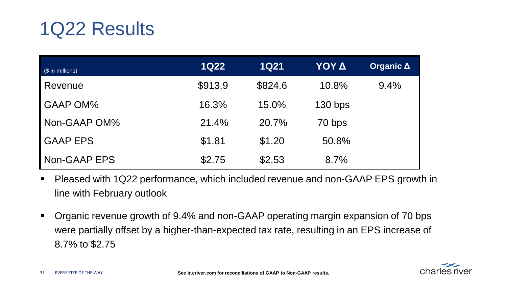### 1Q22 Results

| $(S \in \mathbb{R})$ in millions) | <b>1Q22</b> | <b>1Q21</b> | ΥΟΥ Δ     | <b>Organic A</b> |
|-----------------------------------|-------------|-------------|-----------|------------------|
| Revenue                           | \$913.9     | \$824.6     | 10.8%     | 9.4%             |
| <b>GAAP OM%</b>                   | 16.3%       | 15.0%       | $130$ bps |                  |
| Non-GAAP OM%                      | 21.4%       | 20.7%       | 70 bps    |                  |
| <b>GAAP EPS</b>                   | \$1.81      | \$1.20      | 50.8%     |                  |
| Non-GAAP EPS                      | \$2.75      | \$2.53      | 8.7%      |                  |

- Pleased with 1Q22 performance, which included revenue and non-GAAP EPS growth in line with February outlook
- Organic revenue growth of 9.4% and non-GAAP operating margin expansion of 70 bps were partially offset by a higher-than-expected tax rate, resulting in an EPS increase of 8.7% to \$2.75

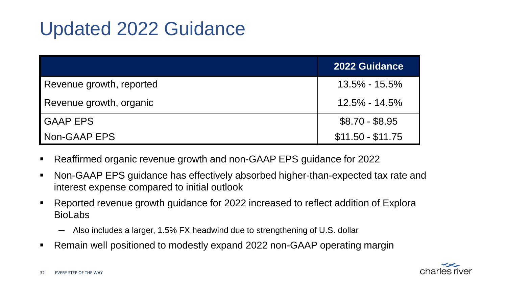### Updated 2022 Guidance

|                          | <b>2022 Guidance</b> |
|--------------------------|----------------------|
| Revenue growth, reported | $13.5\% - 15.5\%$    |
| Revenue growth, organic  | 12.5% - 14.5%        |
| <b>GAAP EPS</b>          | $$8.70 - $8.95$      |
| Non-GAAP EPS             | $$11.50 - $11.75$    |

- Reaffirmed organic revenue growth and non-GAAP EPS guidance for 2022
- Non-GAAP EPS guidance has effectively absorbed higher-than-expected tax rate and interest expense compared to initial outlook
- Reported revenue growth guidance for 2022 increased to reflect addition of Explora BioLabs
	- ─ Also includes a larger, 1.5% FX headwind due to strengthening of U.S. dollar
- Remain well positioned to modestly expand 2022 non-GAAP operating margin

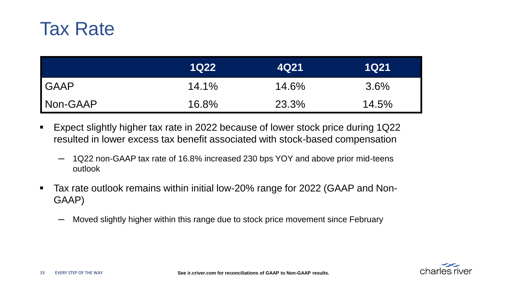

|             | <b>1Q22</b> | 4Q21  | 1Q21    |
|-------------|-------------|-------|---------|
| <b>GAAP</b> | 14.1%       | 14.6% | $3.6\%$ |
| Non-GAAP    | 16.8%       | 23.3% | 14.5%   |

- Expect slightly higher tax rate in 2022 because of lower stock price during 1Q22 resulted in lower excess tax benefit associated with stock-based compensation
	- $-$  1Q22 non-GAAP tax rate of 16.8% increased 230 bps YOY and above prior mid-teens outlook
- Tax rate outlook remains within initial low-20% range for 2022 (GAAP and Non-GAAP)
	- ─ Moved slightly higher within this range due to stock price movement since February

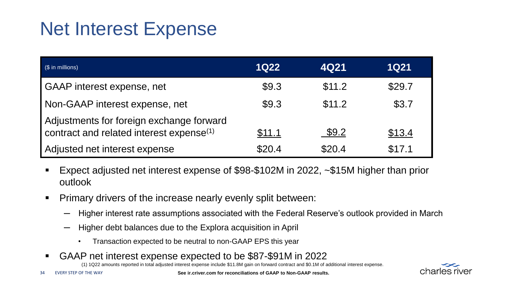#### Net Interest Expense

| $$$ in millions)                                                                                 | <b>1Q22</b> | 4Q21   | <b>1Q21</b> |
|--------------------------------------------------------------------------------------------------|-------------|--------|-------------|
| GAAP interest expense, net                                                                       | \$9.3       | \$11.2 | \$29.7      |
| Non-GAAP interest expense, net                                                                   | \$9.3       | \$11.2 | \$3.7       |
| Adjustments for foreign exchange forward<br>contract and related interest expense <sup>(1)</sup> | \$11.1      | \$9.2  | \$13.4      |
| Adjusted net interest expense                                                                    | \$20.4      | \$20.4 | \$17.1      |

- Expect adjusted net interest expense of  $$98-$102M$  in 2022,  $~$15M$  higher than prior outlook
- Primary drivers of the increase nearly evenly split between:
	- ─ Higher interest rate assumptions associated with the Federal Reserve's outlook provided in March
	- Higher debt balances due to the Explora acquisition in April
		- Transaction expected to be neutral to non-GAAP EPS this year
- GAAP net interest expense expected to be \$87-\$91M in 2022

(1) 1Q22 amounts reported in total adjusted interest expense include \$11.8M gain on forward contract and \$0.1M of additional interest expense.

**See ir.criver.com for reconciliations of GAAP to Non-GAAP results.**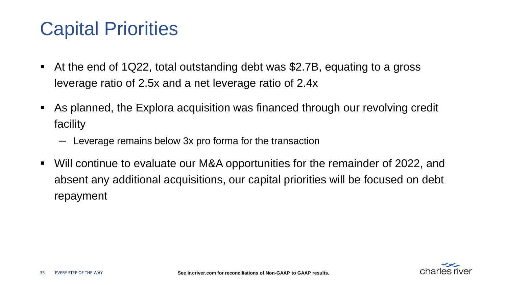#### Capital Priorities

- At the end of 1Q22, total outstanding debt was \$2.7B, equating to a gross leverage ratio of 2.5x and a net leverage ratio of 2.4x
- As planned, the Explora acquisition was financed through our revolving credit facility
	- ─ Leverage remains below 3x pro forma for the transaction
- Will continue to evaluate our M&A opportunities for the remainder of 2022, and absent any additional acquisitions, our capital priorities will be focused on debt repayment

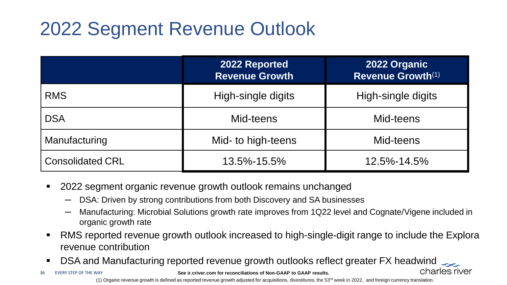## 2022 Segment Revenue Outlook

|                         | 2022 Reported<br><b>Revenue Growth</b> | 2022 Organic<br>Revenue Growth <sup>(1)</sup> |
|-------------------------|----------------------------------------|-----------------------------------------------|
| <b>RMS</b>              | High-single digits                     | High-single digits                            |
| <b>DSA</b>              | Mid-teens                              | Mid-teens                                     |
| Manufacturing           | Mid- to high-teens                     | Mid-teens                                     |
| <b>Consolidated CRL</b> | 13.5%-15.5%                            | 12.5%-14.5%                                   |

- 2022 segment organic revenue growth outlook remains unchanged
	- $-$  DSA: Driven by strong contributions from both Discovery and SA businesses
	- $-$  Manufacturing: Microbial Solutions growth rate improves from 1Q22 level and Cognate/Vigene included in organic growth rate
- RMS reported revenue growth outlook increased to high-single-digit range to include the Explora revenue contribution
- DSA and Manufacturing reported revenue growth outlooks reflect greater FX headwind
- EVERY STEP OF THE WAY 36

**See ir.criver.com for reconciliations of Non-GAAP to GAAP results.**

charles river

(1) Organic revenue growth is defined as reported revenue growth adjusted for acquisitions, divestitures, the 53<sup>rd</sup> week in 2022, and foreign currency translation.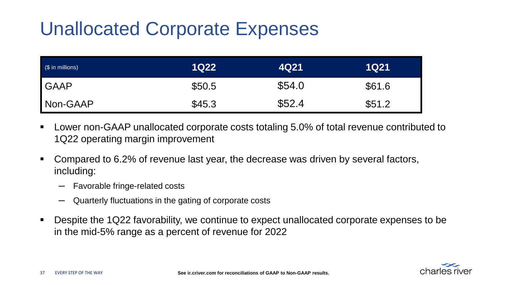## Unallocated Corporate Expenses

| (\$ in millions) | <b>1Q22</b> | 4Q21   | <b>1Q21</b> |
|------------------|-------------|--------|-------------|
| <b>GAAP</b>      | \$50.5      | \$54.0 | \$61.6      |
| Non-GAAP         | \$45.3      | \$52.4 | \$51.2      |

- Lower non-GAAP unallocated corporate costs totaling 5.0% of total revenue contributed to 1Q22 operating margin improvement
- Compared to 6.2% of revenue last year, the decrease was driven by several factors, including:
	- ─ Favorable fringe-related costs
	- Quarterly fluctuations in the gating of corporate costs
- Despite the 1Q22 favorability, we continue to expect unallocated corporate expenses to be in the mid-5% range as a percent of revenue for 2022

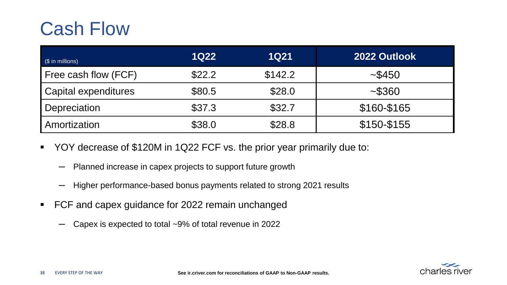### Cash Flow

| (\$ in millions)     | <b>1Q22</b> | <b>1Q21</b> | 2022 Outlook |
|----------------------|-------------|-------------|--------------|
| Free cash flow (FCF) | \$22.2      | \$142.2     | ~1.5450      |
| Capital expenditures | \$80.5      | \$28.0      | ~1.5360      |
| Depreciation         | \$37.3      | \$32.7      | \$160-\$165  |
| Amortization         | \$38.0      | \$28.8      | \$150-\$155  |

- YOY decrease of \$120M in 1Q22 FCF vs. the prior year primarily due to:
	- ─ Planned increase in capex projects to support future growth
	- ─ Higher performance-based bonus payments related to strong 2021 results
- FCF and capex guidance for 2022 remain unchanged
	- ─ Capex is expected to total ~9% of total revenue in 2022

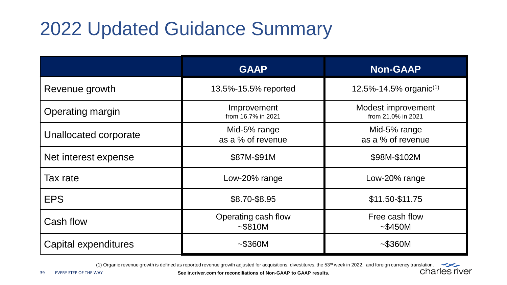## 2022 Updated Guidance Summary

|                       | <b>GAAP</b>                        | <b>Non-GAAP</b>                          |
|-----------------------|------------------------------------|------------------------------------------|
| Revenue growth        | 13.5%-15.5% reported               | 12.5%-14.5% organic <sup>(1)</sup>       |
| Operating margin      | Improvement<br>from 16.7% in 2021  | Modest improvement<br>from 21.0% in 2021 |
| Unallocated corporate | Mid-5% range<br>as a % of revenue  | Mid-5% range<br>as a % of revenue        |
| Net interest expense  | \$87M-\$91M                        | \$98M-\$102M                             |
| Tax rate              | Low-20% range                      | Low-20% range                            |
| <b>EPS</b>            | \$8.70-\$8.95                      | \$11.50-\$11.75                          |
| Cash flow             | Operating cash flow<br>$~-$ \$810M | Free cash flow<br>$~-$ \$450M            |
| Capital expenditures  | $~-$ \$360M                        | $-$ \$360M                               |

(1) Organic revenue growth is defined as reported revenue growth adjusted for acquisitions, divestitures, the 53<sup>rd</sup> week in 2022, and foreign currency translation.

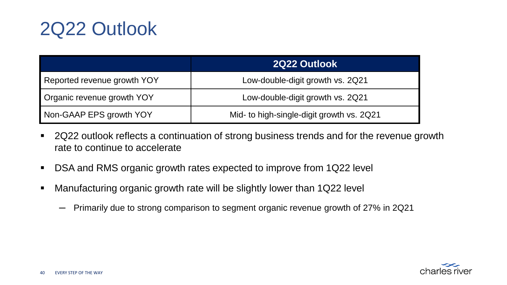### 2Q22 Outlook

|                             | 2Q22 Outlook                              |  |  |
|-----------------------------|-------------------------------------------|--|--|
| Reported revenue growth YOY | Low-double-digit growth vs. 2Q21          |  |  |
| Organic revenue growth YOY  | Low-double-digit growth vs. 2Q21          |  |  |
| Non-GAAP EPS growth YOY     | Mid- to high-single-digit growth vs. 2Q21 |  |  |

- 2Q22 outlook reflects a continuation of strong business trends and for the revenue growth rate to continue to accelerate
- DSA and RMS organic growth rates expected to improve from 1Q22 level
- Manufacturing organic growth rate will be slightly lower than 1Q22 level
	- ─ Primarily due to strong comparison to segment organic revenue growth of 27% in 2Q21

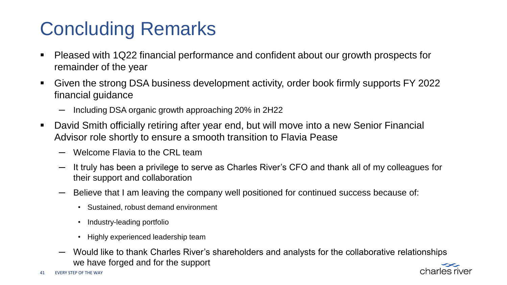## Concluding Remarks

- Pleased with 1Q22 financial performance and confident about our growth prospects for remainder of the year
- Given the strong DSA business development activity, order book firmly supports FY 2022 financial guidance
	- $-$  Including DSA organic growth approaching 20% in 2H22
- David Smith officially retiring after year end, but will move into a new Senior Financial Advisor role shortly to ensure a smooth transition to Flavia Pease
	- ─ Welcome Flavia to the CRL team
	- ─ It truly has been a privilege to serve as Charles River's CFO and thank all of my colleagues for their support and collaboration
	- Believe that I am leaving the company well positioned for continued success because of:
		- Sustained, robust demand environment
		- Industry-leading portfolio
		- Highly experienced leadership team
	- Would like to thank Charles River's shareholders and analysts for the collaborative relationships we have forged and for the support

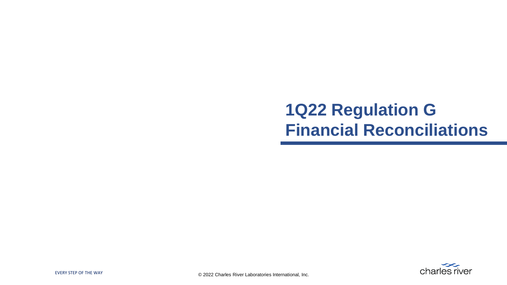#### **1Q22 Regulation G Financial Reconciliations**

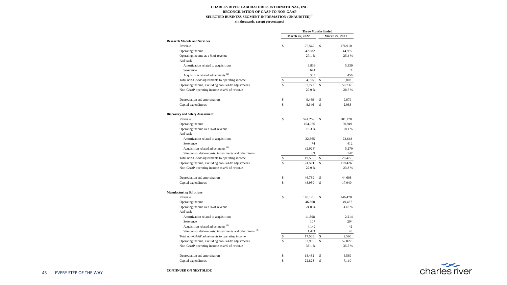#### **CHARLES RIVER LABORATORIES INTERNATIONAL, INC. SELECTED BUSINESS SEGMENT INFORMATION (UNAUDITED)(1) RECONCILIATION OF GAAP TO NON-GAAP (in thousands, except percentages)**

|                                                                      | <b>Three Months Ended</b> |                |    |                |
|----------------------------------------------------------------------|---------------------------|----------------|----|----------------|
|                                                                      |                           | March 26, 2022 |    | March 27, 2021 |
| <b>Research Models and Services</b>                                  |                           |                |    |                |
| Revenue                                                              | \$                        | 176.542        | s  | 176,910        |
| Operating income                                                     |                           | 47,882         |    | 44,935         |
| Operating income as a % of revenue                                   |                           | 27.1%          |    | 25.4 %         |
| Add back:                                                            |                           |                |    |                |
| Amortization related to acquisitions                                 |                           | 3,838          |    | 5,339          |
| Severance                                                            |                           | 674            |    | 7              |
| Acquisition related adjustments <sup>(2)</sup>                       |                           | 383            |    | 456            |
| Total non-GAAP adjustments to operating income                       | \$                        | 4,895          | Ś  | 5,802          |
| Operating income, excluding non-GAAP adjustments                     | Ś                         | 52,777         | Ś  | 50,737         |
| Non-GAAP operating income as a % of revenue                          |                           | 29.9%          |    | 28.7%          |
| Depreciation and amortization                                        | \$                        | 9.469          | Ś  | 9.679          |
| Capital expenditures                                                 | Ś                         | 8.646          | Ś  | 2.983          |
| <b>Discovery and Safety Assessment</b>                               |                           |                |    |                |
| Revenue                                                              | \$                        | 544,259        | Ś  | 501,178        |
| Operating income                                                     |                           | 104,986        |    | 90.949         |
| Operating income as a % of revenue                                   |                           | 19.3%          |    | 18.1%          |
| Add back:                                                            |                           |                |    |                |
| Amortization related to acquisitions                                 |                           | 22.365         |    | 22,648         |
| Severance                                                            |                           | 74             |    | 412            |
| Acquisition related adjustments <sup>(2)</sup>                       |                           | (2,923)        |    | 5,270          |
| Site consolidation costs, impairments and other items                |                           | 69             |    | 147            |
| Total non-GAAP adjustments to operating income                       | \$                        | 19,585         | S  | 28,477         |
| Operating income, excluding non-GAAP adjustments                     | ś                         | 124,571        | Ś  | 119.426        |
| Non-GAAP operating income as a % of revenue                          |                           | 22.9%          |    | 23.8%          |
| Depreciation and amortization                                        | Ś                         | 46.789         | s  | 44,608         |
| Capital expenditures                                                 | Ś                         | 48.930         | Ś  | 17,040         |
| <b>Manufacturing Solutions</b>                                       |                           |                |    |                |
| Revenue                                                              | Ś                         | 193.128        | s  | 146,478        |
| Operating income                                                     |                           | 46,368         |    | 49,437         |
| Operating income as a % of revenue                                   |                           | 24.0%          |    | 33.8%          |
| Add back:                                                            |                           |                |    |                |
| Amortization related to acquisitions                                 |                           | 11,898         |    | 2.214          |
| Severance                                                            |                           | 107            |    | 294            |
| Acquisition related adjustments <sup>(2)</sup>                       |                           | 4,142          |    | 42             |
| Site consolidation costs, impairments and other items <sup>(3)</sup> |                           | 1,421          |    | 40             |
| Total non-GAAP adjustments to operating income                       | \$                        | 17.568         | s  | 2,590          |
| Operating income, excluding non-GAAP adjustments                     | Ś                         | 63,936         | Ś  | 52,027         |
| Non-GAAP operating income as a % of revenue                          |                           | 33.1%          |    | 35.5%          |
| Depreciation and amortization                                        | \$                        | 18,482         | \$ | 6,569          |
| Capital expenditures                                                 | Ś                         | 22,828         | Ś  | 7.110          |

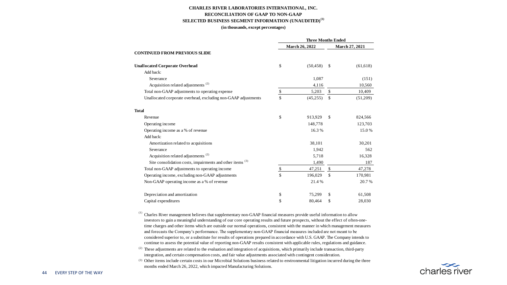#### **CHARLES RIVER LABORATORIES INTERNATIONAL, INC. RECONCILIATION OF GAAP TO NON-GAAP SELECTED BUSINESS SEGMENT INFORMATION (UNAUDITED)(1)**

#### **(in thousands, except percentages)**

|                                                                      | <b>Three Months Ended</b> |                       |              |                |
|----------------------------------------------------------------------|---------------------------|-----------------------|--------------|----------------|
|                                                                      |                           | <b>March 26, 2022</b> |              | March 27, 2021 |
| <b>CONTINUED FROM PREVIOUS SLIDE</b>                                 |                           |                       |              |                |
| <b>Unallocated Corporate Overhead</b>                                | S                         | (50, 458)             | \$           | (61, 618)      |
| Add back:                                                            |                           |                       |              |                |
| Severance                                                            |                           | 1,087                 |              | (151)          |
| Acquisition related adjustments <sup>(2)</sup>                       |                           | 4,116                 |              | 10,560         |
| Total non-GAAP adjustments to operating expense                      | \$                        | 5,203                 | \$           | 10,409         |
| Unallocated corporate overhead, excluding non-GAAP adjustments       | $\mathbf{\hat{s}}$        | (45,255)              | \$           | (51,209)       |
| <b>Total</b>                                                         |                           |                       |              |                |
| Revenue                                                              | S                         | 913.929               | \$           | 824,566        |
| Operating income                                                     |                           | 148,778               |              | 123,703        |
| Operating income as a % of revenue                                   |                           | 16.3%                 |              | 15.0%          |
| Add back:                                                            |                           |                       |              |                |
| Amortization related to acquisitions                                 |                           | 38,101                |              | 30,201         |
| Severance                                                            |                           | 1.942                 |              | 562            |
| Acquisition related adjustments <sup>(2)</sup>                       |                           | 5,718                 |              | 16,328         |
| Site consolidation costs, impairments and other items <sup>(3)</sup> |                           | 1,490                 |              | 187            |
| Total non-GAAP adjustments to operating income                       | $\overline{\mathcal{L}}$  | 47,251                | $\mathbf{s}$ | 47,278         |
| Operating income, excluding non-GAAP adjustments                     | $\mathbf{s}$              | 196,029               | \$           | 170,981        |
| Non-GAAP operating income as a % of revenue                          |                           | 21.4%                 |              | 20.7 %         |
| Depreciation and amortization                                        | \$                        | 75,299                | \$           | 61,508         |
| Capital expenditures                                                 | S                         | 80.464                | \$           | 28,030         |

<sup>(1)</sup> Charles River management believes that supplementary non-GAAP financial measures provide useful information to allow investors to gain a meaningful understanding of our core operating results and future prospects, without the effect of often-onetime charges and other items which are outside our normal operations, consistent with the manner in which management measures and forecasts the Company's performance. The supplementary non-GAAP financial measures included are not meant to be considered superior to, or a substitute for results of operations prepared in accordance with U.S. GAAP. The Company intends to continue to assess the potential value of reporting non-GAAP results consistent with applicable rules, regulations and guidance.

<sup>(2)</sup> These adjustments are related to the evaluation and integration of acquisitions, which primarily include transaction, third-party integration, and certain compensation costs, and fair value adjustments associated with contingent consideration.

 (3) Other items include certain costs in our Microbial Solutions business related to environmental litigation incurred during the three months ended March 26, 2022, which impacted Manufacturing Solutions. 

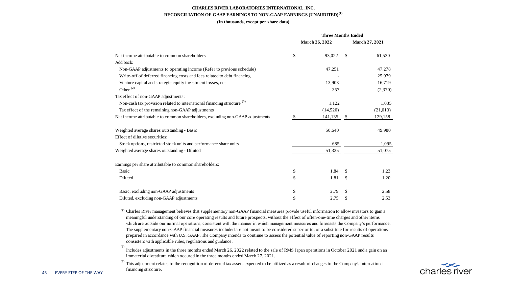#### **CHARLES RIVER LABORATORIES INTERNATIONAL, INC. RECONCILIATION OF GAAP EARNINGS TO NON-GAAP EARNINGS (UNAUDITED)(1)**

#### **(in thousands, except per share data)**

|                                                                                                                                        | <b>Three Months Ended</b> |                       |           |                       |
|----------------------------------------------------------------------------------------------------------------------------------------|---------------------------|-----------------------|-----------|-----------------------|
|                                                                                                                                        |                           | <b>March 26, 2022</b> |           | <b>March 27, 2021</b> |
| Net income attributable to common shareholders                                                                                         | \$                        | 93.022                | \$        | 61,530                |
| Add back:                                                                                                                              |                           |                       |           |                       |
| Non-GAAP adjustments to operating income (Refer to previous schedule)                                                                  |                           | 47,251                |           | 47,278                |
| Write-off of deferred financing costs and fees related to debt financing                                                               |                           |                       |           | 25,979                |
| Venture capital and strategic equity investment losses, net                                                                            |                           | 13,903                |           | 16,719                |
| Other $^{(2)}$                                                                                                                         |                           | 357                   |           | (2,370)               |
| Tax effect of non-GAAP adjustments:                                                                                                    |                           |                       |           |                       |
| Non-cash tax provision related to international financing structure <sup>(3)</sup><br>Tax effect of the remaining non-GAAP adjustments |                           | 1,122                 |           | 1,035                 |
|                                                                                                                                        | (14,520)                  |                       | (21, 013) |                       |
| Net income attributable to common shareholders, excluding non-GAAP adjustments                                                         |                           | 141,135 \$            |           | 129,158               |
| Weighted average shares outstanding - Basic                                                                                            |                           | 50,640                |           | 49,980                |
| Effect of dilutive securities:                                                                                                         |                           |                       |           |                       |
| Stock options, restricted stock units and performance share units                                                                      |                           | 685                   | 1,095     |                       |
| Weighted average shares outstanding - Diluted                                                                                          |                           | 51,325                |           | 51,075                |
| Earnings per share attributable to common shareholders:                                                                                |                           |                       |           |                       |
| Basic                                                                                                                                  | \$                        | 1.84                  | \$.       | 1.23                  |
| Diluted                                                                                                                                | \$                        | 1.81                  | \$.       | 1.20                  |
| Basic, excluding non-GAAP adjustments                                                                                                  | \$                        | 2.79                  | \$        | 2.58                  |
| Diluted, excluding non-GAAP adjustments                                                                                                | \$                        | 2.75                  | \$        | 2.53                  |

 $(1)$  Charles River management believes that supplementary non-GAAP financial measures provide useful information to allow investors to gain a meaningful understanding of our core operating results and future prospects, without the effect of often-one-time charges and other items which are outside our normal operations, consistent with the manner in which management measures and forecasts the Company's performance. The supplementary non-GAAP financial measures included are not meant to be considered superior to, or a substitute for results of operations prepared in accordance with U.S. GAAP. The Company intends to continue to assess the potential value of reporting non-GAAP results consistent with applicable rules, regulations and guidance.

 (2) Includes adjustments in the three months ended March 26, 2022 related to the sale of RMS Japan operations in October 2021 and a gain on an immaterial divestiture which occured in the three months ended March 27, 2021.

 (3) This adjustment relates to the recognition of deferred tax assets expected to be utilized as a result of changes to the Company's international financing structure.

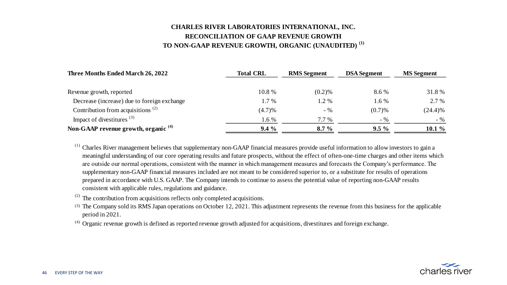#### **TO NON-GAAP REVENUE GROWTH, ORGANIC (UNAUDITED) (1) RECONCILIATION OF GAAP REVENUE GROWTH CHARLES RIVER LABORATORIES INTERNATIONAL, INC.**

| Three Months Ended March 26, 2022                          | <b>Total CRL</b> | <b>RMS</b> Segment | <b>DSA</b> Segment | <b>MS</b> Segment |  |
|------------------------------------------------------------|------------------|--------------------|--------------------|-------------------|--|
|                                                            |                  |                    |                    |                   |  |
| Revenue growth, reported                                   | 10.8 %           | $(0.2)$ %          | 8.6 %              | 31.8%             |  |
| Decrease (increase) due to foreign exchange                | $1.7\%$          | 1.2 %              | 1.6 %              | 2.7 %             |  |
| Contribution from acquisitions <sup><math>(2)</math></sup> | (4.7)%           | $-$ %              | (0.7)%             | (24.4)%           |  |
| Impact of divestitures $(3)$                               | 1.6 %            | 7.7 %              | $-$ %              | $-96$             |  |
| Non-GAAP revenue growth, organic <sup>(4)</sup>            | $9.4\%$          | $8.7\%$            | $9.5\%$            | $10.1\%$          |  |

<sup>(1)</sup> Charles River management believes that supplementary non-GAAP financial measures provide useful information to allow investors to gain a meaningful understanding of our core operating results and future prospects, without the effect of often-one-time charges and other items which are outside our normal operations, consistent with the manner in which management measures and forecasts the Company's performance. The supplementary non-GAAP financial measures included are not meant to be considered superior to, or a substitute for results of operations prepared in accordance with U.S. GAAP. The Company intends to continue to assess the potential value of reporting non-GAAP results consistent with applicable rules, regulations and guidance.

 $(2)$  The contribution from acquisitions reflects only completed acquisitions.

 (3) The Company sold its RMS Japan operations on October 12, 2021. This adjustment represents the revenue from this business for the applicable period in 2021.

(4) Organic revenue growth is defined as reported revenue growth adjusted for acquisitions, divestitures and foreign exchange.

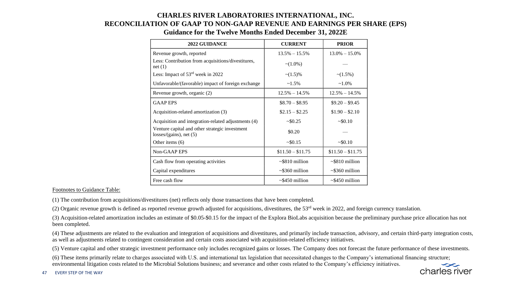#### **CHARLES RIVER LABORATORIES INTERNATIONAL, INC. RECONCILIATION OF GAAP TO NON-GAAP REVENUE AND EARNINGS PER SHARE (EPS)**

| <b>2022 GUIDANCE</b>                                                           | <b>CURRENT</b>       | <b>PRIOR</b>         |
|--------------------------------------------------------------------------------|----------------------|----------------------|
| Revenue growth, reported                                                       | $13.5\% - 15.5\%$    | $13.0\% - 15.0\%$    |
| Less: Contribution from acquisitions/divestitures,<br>net(1)                   | $\sim (1.0\%)$       |                      |
| Less: Impact of $53rd$ week in 2022                                            | $\sim$ (1.5)%        | $\sim$ (1.5%)        |
| Unfavorable/(favorable) impact of foreign exchange                             | $~1.5\%$             | $~1.0\%$             |
| Revenue growth, organic (2)                                                    | $12.5\% - 14.5\%$    | $12.5\% - 14.5\%$    |
| <b>GAAP EPS</b>                                                                | $$8.70 - $8.95$      | $$9.20 - $9.45$      |
| Acquisition-related amortization (3)                                           | $$2.15 - $2.25$      | $$1.90 - $2.10$      |
| Acquisition and integration-related adjustments (4)                            | ~50.25               | ~50.10               |
| Venture capital and other strategic investment<br>$losses/(gains)$ , net $(5)$ | \$0.20               |                      |
| Other items $(6)$                                                              | ~50.15               | ~50.10               |
| Non-GAAP EPS                                                                   | $$11.50 - $11.75$    | $$11.50 - $11.75$    |
| Cash flow from operating activities                                            | $\sim$ \$810 million | $\sim$ \$810 million |
| Capital expenditures                                                           | $\sim$ \$360 million | $\sim$ \$360 million |
| Free cash flow                                                                 | $\sim$ \$450 million | $\sim$ \$450 million |

#### **Guidance for the Twelve Months Ended December 31, 2022E**

#### Footnotes to Guidance Table:

(1) The contribution from acquisitions/divestitures (net) reflects only those transactions that have been completed.

(2) Organic revenue growth is defined as reported revenue growth adjusted for acquisitions, divestitures, the  $53<sup>rd</sup>$  week in 2022, and foreign currency translation.

(3) Acquisition-related amortization includes an estimate of \$0.05-\$0.15 for the impact of the Explora BioLabs acquisition because the preliminary purchase price allocation has not been completed.

(4) These adjustments are related to the evaluation and integration of acquisitions and divestitures, and primarily include transaction, advisory, and certain third-party integration costs, as well as adjustments related to contingent consideration and certain costs associated with acquisition-related efficiency initiatives.

(5) Venture capital and other strategic investment performance only includes recognized gains or losses. The Company does not forecast the future performance of these investments.

(6) These items primarily relate to charges associated with U.S. and international tax legislation that necessitated changes to the Company's international financing structure; environmental litigation costs related to the Microbial Solutions business; and severance and other costs related to the Company's efficiency initiatives.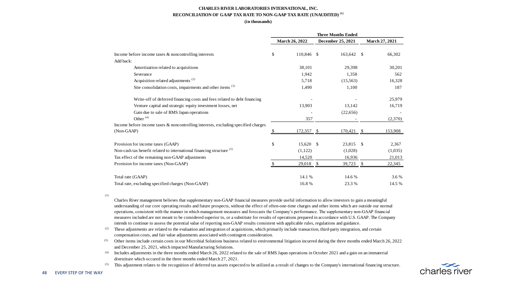#### **CHARLES RIVER LABORATORIES INTERNATIONAL, INC. RECONCILIATION OF GAAP TAX RATE TO NON-GAAP TAX RATE (UNAUDITED) (1)**

#### **(in thousands)**

|                                                                                    | <b>March 26, 2022</b> |    | December 25, 2021 | March 27, 2021 |
|------------------------------------------------------------------------------------|-----------------------|----|-------------------|----------------|
| Income before income taxes & noncontrolling interests                              | \$<br>110,846 \$      |    | 163,642           | \$<br>66,302   |
| Add back:                                                                          |                       |    |                   |                |
| Amortization related to acquisitions                                               | 38.101                |    | 29.398            | 30.201         |
| Severance                                                                          | 1.942                 |    | 1.358             | 562            |
| Acquisition related adjustments <sup>(2)</sup>                                     | 5.718                 |    | (15,563)          | 16,328         |
| Site consolidation costs, impairments and other items <sup>(3)</sup>               | 1,490                 |    | 1,100             | 187            |
| Write-off of deferred financing costs and fees related to debt financing           |                       |    |                   | 25,979         |
| Venture capital and strategic equity investment losses, net                        | 13,903                |    | 13,142            | 16,719         |
| Gain due to sale of RMS Japan operations                                           |                       |    | (22,656)          |                |
| Other <sup>(4)</sup>                                                               | 357                   |    |                   | (2,370)        |
| Income before income taxes & noncontrolling interests, excluding specified charges |                       |    |                   |                |
| (Non-GAAP)                                                                         | 172,357               | -S | 170,421           | \$<br>153,908  |
| Provision for income taxes (GAAP)                                                  | \$<br>15,620 \$       |    | 23,815 \$         | 2.367          |
| Non-cash tax benefit related to international financing structure <sup>(5)</sup>   | (1,122)               |    | (1,028)           | (1,035)        |
| Tax effect of the remaining non-GAAP adjustments                                   | 14,520                |    | 16,936            | 21,013         |
| Provision for income taxes (Non-GAAP)                                              | 29,018 \$             |    | 39,723 \$         | 22,345         |
| Total rate (GAAP)                                                                  | 14.1%                 |    | 14.6%             | 3.6 %          |
| Total rate, excluding specified charges (Non-GAAP)                                 | 16.8%                 |    | 23.3 %            | 14.5 %         |

(1)

Charles River management believes that supplementary non-GAAP financial measures provide useful information to allow investors to gain a meaningful understanding of our core operating results and future prospects, without the effect of often-one-time charges and other items which are outside our normal operations, consistent with the manner in which management measures and forecasts the Company's performance. The supplementary non-GAAP financial measures included are not meant to be considered superior to, or a substitute for results of operations prepared in accordance with U.S. GAAP. The Company intends to continue to assess the potential value of reporting non-GAAP results consistent with applicable rules, regulations and guidance.

- (2) These adjustments are related to the evaluation and integration of acquisitions, which primarily include transaction, third-party integration, and certain compensation costs, and fair value adjustments associated with contingent consideration.
- (3) Other items include certain costs in our Microbial Solutions business related to environmental litigation incurred during the three months ended March 26, 2022 and December 25, 2021, which impacted Manufacturing Solutions.
- (4) Includes adjustments in the three months ended March 26, 2022 related to the sale of RMS Japan operations in October 2021 and a gain on an immaterial divestiture which occured in the three months ended March 27, 2021.

<sup>(5)</sup> This adjustment relates to the recognition of deferred tax assets expected to be utilized as a result of changes to the Company's international financing structure.

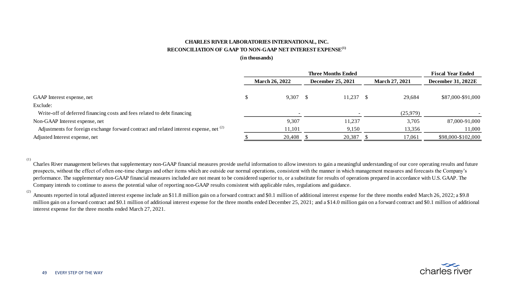#### **CHARLES RIVER LABORATORIES INTERNATIONAL, INC. RECONCILIATION OF GAAP TO NON-GAAP NET INTEREST EXPENSE(1)**

#### **(in thousands)**

|                                                                                              | <b>Three Months Ended</b> |        |  |                   |  |                       | <b>Fiscal Year Ended</b>  |  |  |
|----------------------------------------------------------------------------------------------|---------------------------|--------|--|-------------------|--|-----------------------|---------------------------|--|--|
|                                                                                              | <b>March 26, 2022</b>     |        |  | December 25, 2021 |  | <b>March 27, 2021</b> | <b>December 31, 2022E</b> |  |  |
|                                                                                              |                           |        |  |                   |  |                       |                           |  |  |
| GAAP Interest expense, net                                                                   |                           | 9.307S |  | 11.237            |  | 29.684                | \$87,000-\$91,000         |  |  |
| Exclude:                                                                                     |                           |        |  |                   |  |                       |                           |  |  |
| Write-off of deferred financing costs and fees related to debt financing                     |                           |        |  |                   |  | (25,979)              |                           |  |  |
| Non-GAAP Interest expense, net                                                               |                           | 9,307  |  | 11.237            |  | 3,705                 | 87,000-91,000             |  |  |
| Adjustments for foreign exchange forward contract and related interest expense, net $^{(2)}$ |                           | 11,101 |  | 9,150             |  | 13,356                | 11,000                    |  |  |
| Adjusted Interest expense, net                                                               |                           | 20,408 |  | 20,387            |  | 17,061                | \$98,000-\$102,000        |  |  |

(1)

Charles River management believes that supplementary non-GAAP financial measures provide useful information to allow investors to gain a meaningful understanding of our core operating results and future prospects, without the effect of often one-time charges and other items which are outside our normal operations, consistent with the manner in which management measures and forecasts the Company's performance. The supplementary non-GAAP financial measures included are not meant to be considered superior to, or a substitute for results of operations prepared in accordance with U.S. GAAP. The Company intends to continue to assess the potential value of reporting non-GAAP results consistent with applicable rules, regulations and guidance.

(2)

Amounts reported in total adjusted interest expense include an \$11.8 million gain on a forward contract and \$0.1 million of additional interest expense for the three months ended March 26, 2022; a \$9.8 million gain on a forward contract and \$0.1 million of additional interest expense for the three months ended December 25, 2021; and a \$14.0 million gain on a forward contract and \$0.1 million of additional interest expense for the three months ended March 27, 2021.

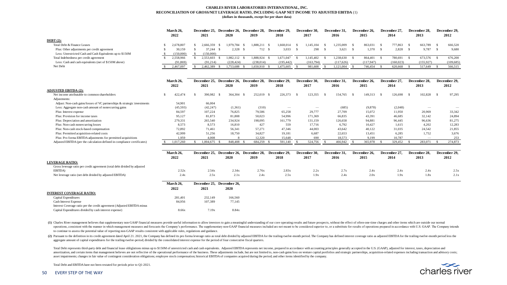#### **CHARLES RIVER LABORATORIES INTERNATIONAL, INC. RECONCILIATION OF GROSS/NET LEVERAGE RATIO, INCLUDING GAAP NET INCOME TO ADJUSTED EBITDA** (1) **(dollars in thousands, except for per share data)**

|                                                           | March 26. | December 25. | December 26. December 28. |            |       | December 29, | December 30. | December 31, | December 26. | December 27 | December 28. | December 29, |
|-----------------------------------------------------------|-----------|--------------|---------------------------|------------|-------|--------------|--------------|--------------|--------------|-------------|--------------|--------------|
|                                                           | 2022      | 2021         | 2020                      | 2019       |       | 2018         | 2017         | 2016         | 2015         | 2014        | 2013         | 2012         |
| $DEBT (2):$                                               |           |              |                           |            |       |              |              |              |              |             |              |              |
| Total Debt & Finance Leases                               | 2,678,807 | 666.359      | 1,979,784                 | 1.888.211  |       | .668.014     | .145.104     | .235.009     | 863,031      | 777,863     | 663,789      | 666.520      |
| Plus: Other adjustments per credit agreement              | 30.159    | 37.244       | 2.328                     |            | 712 S | 3.033        | 298          | 3,621        | 1.370        | 2.828       | 9.787        | 9.680        |
| Less: Unrestricted Cash and Cash Equivalents up to \$150M | (150,000) | (150,000)    |                           |            |       |              |              |              |              |             |              |              |
| Total Indebtedness per credit agreement                   | 2.558.966 | 2.553.603    | 1.982.112                 | 1.888.924  |       | 1.671.047    | 145,402      | .238.630     | 864,401      | 780,691     | 673,576      | 676.200      |
| Less: Cash and cash equivalents (net of \$150M above)     | (91, 869) | (91, 214)    | (228.424)                 | (238, 014) |       | (195, 442)   | (163, 794)   | (117,626)    | (117,947)    | (160, 023)  | (155.927)    | (109, 685)   |
| Net Debt                                                  | 2.467.097 | 2,462,389    | 1.753.688                 | 1.650.910  |       | 1,475,605    | 981,608      | 1.121.004    | 746,454      | 620,668     | 517.649      | 566,515      |

|                                                                           | March 26,<br>2022 | 2021          | December 25, December 26, December 28,<br>2020 | 2019                                   | December 29.<br>2018 | December 30,<br>2017 | December 31,<br>2016 | December 26,<br>2015 | December 27,<br>2014 | December 28,<br>2013 | December 29,<br>2012 |
|---------------------------------------------------------------------------|-------------------|---------------|------------------------------------------------|----------------------------------------|----------------------|----------------------|----------------------|----------------------|----------------------|----------------------|----------------------|
| <b>ADJUSTED EBITDA (2):</b>                                               |                   |               |                                                |                                        |                      |                      |                      |                      |                      |                      |                      |
| Net income attributable to common shareholders                            | 422,474<br>s      | 390,982<br>-8 | 364,304                                        | 252,019 \$<br>- \$                     | 226,373              | 123,355<br>- 8       | 154,765<br>-8        | 149.313<br>-S        | 126,698<br>-S        | 102,828<br>-S        | 97,295<br>- \$       |
| Adjustments:                                                              |                   |               |                                                |                                        |                      |                      |                      |                      |                      |                      |                      |
| Adjust: Non-cash gains/losses of VC partnerships & strategic investments  | 54.901            | 66,004        |                                                |                                        |                      |                      |                      |                      |                      |                      |                      |
| Less: Aggregate non-cash amount of nonrecurring gains                     | (45,593)          | (42, 247)     | (1,361)                                        | (310)                                  | $\hspace{0.05cm}$    |                      | (685)                | (9,878)              | (2,048)              |                      |                      |
| Plus: Interest expense                                                    | 84.597            | 107.224       | 76.825                                         | 79.586                                 | 65.258               | 29.777               | 27,709               | 15.072               | 11.950               | 20,969               | 33.342               |
| Plus: Provision for income taxes                                          | 95,127            | 81,873        | 81.808                                         | 50,023                                 | 54.996               | 171.369              | 66.835               | 43,391               | 46,685               | 32,142               | 24,894               |
| Plus: Depreciation and amortization                                       | 279,331           | 265,540       | 234,924                                        | 198,095                                | 161.779              | 131,159              | 126,658              | 94,881               | 96,445               | 96.636               | 81,275               |
| Plus: Non-cash nonrecurring losses                                        | 8,573             | 8.573         | 16,810                                         | 427                                    | 559                  | 17,716               | 6,792                | 10,427               | 1,615                | 4,202                | 12,283               |
| Plus: Non-cash stock-based compensation                                   | 72.892            | 71.461        | 56.341                                         | 57.271                                 | 47.346               | 44,003               | 43.642               | 40,122               | 31.035               | 24.542               | 21.855               |
| Plus: Permitted acquisition-related costs                                 | 42.999            | 51.256        | 18.750                                         | 34.827                                 | 19.181               | 6.687                | 22.653               | 13.451               | 6.285                | 1.752                | 3.676                |
| Plus: Pro forma EBITDA adjustments for permitted acquisitions             | 1.959             | 4.008         | 8                                              | 12.320                                 | 15.648               | 690                  | 18.573               | 9.199                | 10.787               |                      | 253                  |
| Adjusted EBITDA (per the calculation defined in compliance certificates)  | 1.017.260         | 1,004,675     | 848,408 \$                                     | 684.259 \$                             | 591.140              | 524,756<br>-S        | 466,942              | 365,978              | 329,452              | 283,071<br>-S        | 274,873              |
|                                                                           |                   |               |                                                |                                        |                      |                      |                      |                      |                      |                      |                      |
|                                                                           | March 26,         |               |                                                | December 25, December 26, December 28, | December 29.         | December 30,         | December 31.         | December 26,         | December 27.         | December 28,         | December 29.         |
|                                                                           | 2022              | 2021          | 2020                                           | 2019                                   | 2018                 | 2017                 | 2016                 | 2015                 | 2014                 | 2013                 | 2012                 |
| <b>LEVERAGE RATIO:</b>                                                    |                   |               |                                                |                                        |                      |                      |                      |                      |                      |                      |                      |
| Gross leverage ratio per credit agreement (total debt divided by adjusted |                   |               |                                                |                                        |                      |                      |                      |                      |                      |                      |                      |
| EBITDA)                                                                   | 2.52x             | 2.54x         | 2.34x                                          | 2.76x                                  | 2.83x                | 2.2x                 | 2.7x                 | 2.4x                 | 2.4x                 | 2.4x                 | 2.5x                 |
| Net leverage ratio (net debt divided by adjusted EBITDA)                  | 2.4x              | 2.5x          | 2.1x                                           | 2.4x                                   | 2.5x                 | 1.9x                 | 2.4x                 | 2.0x                 | 1.9x                 | 1.8x                 | 2.1x                 |
|                                                                           | March 26,         |               | December 25, December 26,                      |                                        |                      |                      |                      |                      |                      |                      |                      |
|                                                                           | 2022              | 2021          | 2020                                           |                                        |                      |                      |                      |                      |                      |                      |                      |
| <b>INTEREST COVERAGE RATIO:</b>                                           |                   |               |                                                |                                        |                      |                      |                      |                      |                      |                      |                      |
| Capital Expenditures                                                      | 281.401           | 232,149       | 166,560                                        |                                        |                      |                      |                      |                      |                      |                      |                      |
| Cash Interest Expense                                                     |                   |               |                                                |                                        |                      |                      |                      |                      |                      |                      |                      |
|                                                                           |                   | 107.389       |                                                |                                        |                      |                      |                      |                      |                      |                      |                      |
| Interest Coverage ratio per the credit agreement (Adjusted EBITDA minus   | 84,956            |               | 77,145                                         |                                        |                      |                      |                      |                      |                      |                      |                      |

(1) Charles River management believes that supplementary non-GAAP financial measures provide useful information to allow investors to gain a meaningful understanding of our core operating results and future prospects, with operations, consistent with the manner in which management measures and forecasts the Company's performance. The supplementary non-GAAP financial measures included are not meant to be considered superior to, or a substitut to continue to assess the potential value of reporting non-GAAP results consistent with applicable rules, regulations and guidance.

(2) Pursuant to the definition in its credit agreement dated April 21. 2021, the Company has defined its pro forma leverage ratio as total debt divided by adjusted EBITDA for the trailing-twelve-month period. The Company h aggregate amount of capital expenditures for the trailing-twelve-period; divided by the consolidated interest expense for the period of four consecutive fiscal quarters.

Total Debt represents third-party debt and financial lease obliglations minus up to \$150M of unrestricted cash and cash equivalents. Adjusted EBITDA represents net income, prepared in accordance with accounting principles amortization, and certain items that management believes are not reflective of the operational performance of the business. These adjustments include, but are not limited to, non-cash gains/loss on venture capital portfoli asset impairments; changes in fair value of contingent consideration obligations; employee stock compensation; historical EBITDA of companies acquired during the period; and other items identified by the company.

Total Debt and EBITDA have not been restated for periods prior to Q1-2021.

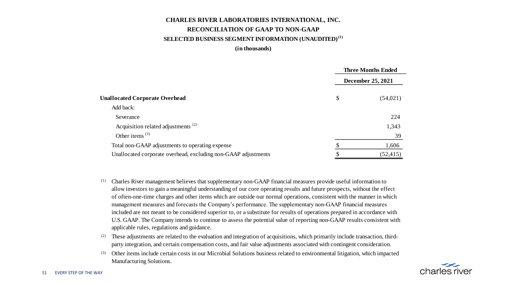#### **CHARLES RIVER LABORATORIES INTERNATIONAL, INC. RECONCILIATION OF GAAP TO NON-GAAP SELECTED BUSINESS SEGMENT INFORMATION (UNAUDITED)(1)**

**(in thousands)**

|                                                                | <b>Three Months Ended</b> |
|----------------------------------------------------------------|---------------------------|
|                                                                | December 25, 2021         |
| <b>Unallocated Corporate Overhead</b>                          | \$<br>(54, 021)           |
| Add back:                                                      |                           |
| Severance                                                      | 224                       |
| Acquisition related adjustments <sup>(2)</sup>                 | 1,343                     |
| Other items $(3)$                                              | 39                        |
| Total non-GAAP adjustments to operating expense                | 1,606                     |
| Unallocated corporate overhead, excluding non-GAAP adjustments | (52, 415)                 |

- (1) Charles River management believes that supplementary non-GAAP financial measures provide useful information to allow investors to gain a meaningful understanding of our core operating results and future prospects, without the effect of often-one-time charges and other items which are outside our normal operations, consistent with the manner in which management measures and forecasts the Company's performance. The supplementary non-GAAP financial measures included are not meant to be considered superior to, or a substitute for results of operations prepared in accordance with U.S. GAAP. The Company intends to continue to assess the potential value of reporting non-GAAP results consistent with applicable rules, regulations and guidance.
- $(2)$  These adjustments are related to the evaluation and integration of acquisitions, which primarily include transaction, thirdparty integration, and certain compensation costs, and fair value adjustments associated with contingent consideration.
- (3) Other items include certain costs in our Microbial Solutions business related to environmental litigation, which impacted Manufacturing Solutions.

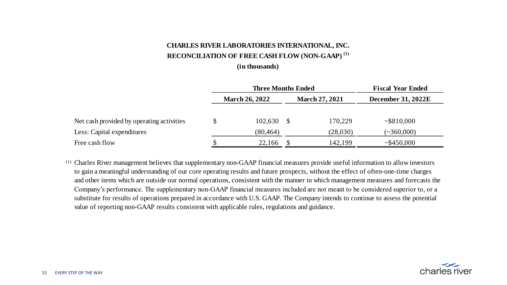#### **CHARLES RIVER LABORATORIES INTERNATIONAL, INC. RECONCILIATION OF FREE CASH FLOW (NON-GAAP) (1)**

#### **(in thousands)**

|                                           |                       | <b>Three Months Ended</b> | <b>Fiscal Year Ended</b> |                       |                           |  |  |
|-------------------------------------------|-----------------------|---------------------------|--------------------------|-----------------------|---------------------------|--|--|
|                                           | <b>March 26, 2022</b> |                           |                          | <b>March 27, 2021</b> | <b>December 31, 2022E</b> |  |  |
|                                           |                       |                           |                          |                       |                           |  |  |
| Net cash provided by operating activities |                       | 102.630                   |                          | 170,229               | ~5810,000                 |  |  |
| Less: Capital expenditures                |                       | (80, 464)                 |                          | (28,030)              | $(-360,000)$              |  |  |
| Free cash flow                            |                       | 22.166                    |                          | 142.199               | ~1.5450,000               |  |  |

 (1) Charles River management believes that supplementary non-GAAP financial measures provide useful information to allow investors to gain a meaningful understanding of our core operating results and future prospects, without the effect of often-one-time charges and other items which are outside our normal operations, consistent with the manner in which management measures and forecasts the Company's performance. The supplementary non-GAAP financial measures included are not meant to be considered superior to, or a substitute for results of operations prepared in accordance with U.S. GAAP. The Company intends to continue to assess the potential value of reporting non-GAAP results consistent with applicable rules, regulations and guidance.